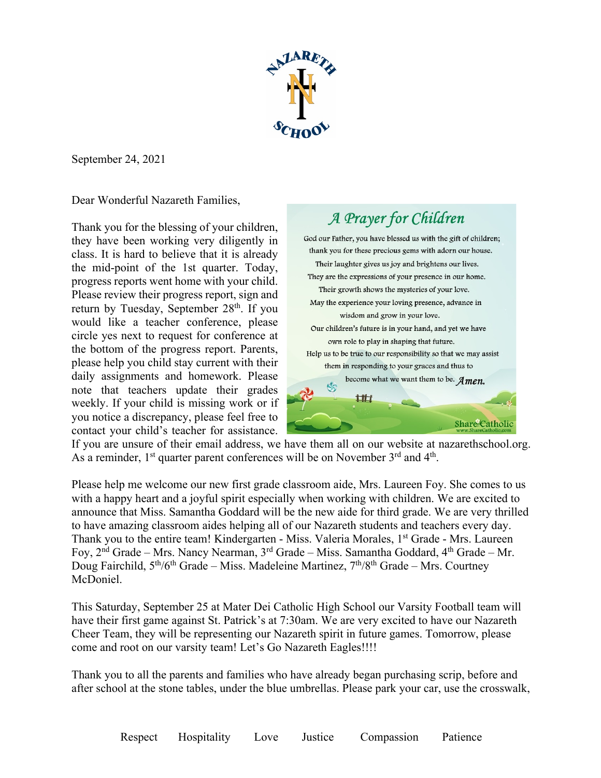

September 24, 2021

Dear Wonderful Nazareth Families,

Thank you for the blessing of your children, they have been working very diligently in class. It is hard to believe that it is already the mid-point of the 1st quarter. Today, progress reports went home with your child. Please review their progress report, sign and return by Tuesday, September 28<sup>th</sup>. If you would like a teacher conference, please circle yes next to request for conference at the bottom of the progress report. Parents, please help you child stay current with their daily assignments and homework. Please note that teachers update their grades weekly. If your child is missing work or if you notice a discrepancy, please feel free to contact your child's teacher for assistance.



If you are unsure of their email address, we have them all on our website at nazarethschool.org. As a reminder, 1<sup>st</sup> quarter parent conferences will be on November 3<sup>rd</sup> and 4<sup>th</sup>.

Please help me welcome our new first grade classroom aide, Mrs. Laureen Foy. She comes to us with a happy heart and a joyful spirit especially when working with children. We are excited to announce that Miss. Samantha Goddard will be the new aide for third grade. We are very thrilled to have amazing classroom aides helping all of our Nazareth students and teachers every day. Thank you to the entire team! Kindergarten - Miss. Valeria Morales, 1<sup>st</sup> Grade - Mrs. Laureen Foy,  $2<sup>nd</sup> Grade - Mrs. Nancy Nearman,  $3<sup>rd</sup> Grade - Miss. Samantha Goddard,  $4<sup>th</sup> Grade - Mr.$$$ Doug Fairchild,  $5<sup>th</sup>/6<sup>th</sup>$  Grade – Miss. Madeleine Martinez,  $7<sup>th</sup>/8<sup>th</sup>$  Grade – Mrs. Courtney McDoniel.

This Saturday, September 25 at Mater Dei Catholic High School our Varsity Football team will have their first game against St. Patrick's at 7:30am. We are very excited to have our Nazareth Cheer Team, they will be representing our Nazareth spirit in future games. Tomorrow, please come and root on our varsity team! Let's Go Nazareth Eagles!!!!

Thank you to all the parents and families who have already began purchasing scrip, before and after school at the stone tables, under the blue umbrellas. Please park your car, use the crosswalk,